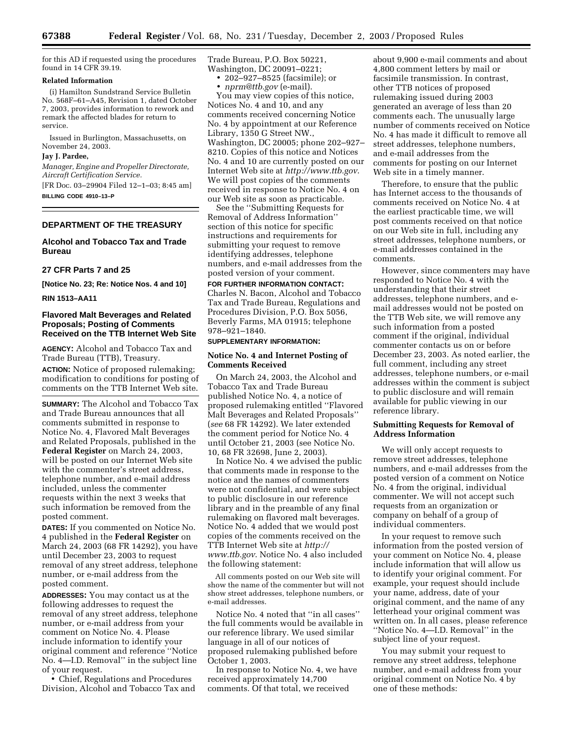for this AD if requested using the procedures found in 14 CFR 39.19.

### **Related Information**

(i) Hamilton Sundstrand Service Bulletin No. 568F–61–A45, Revision 1, dated October 7, 2003, provides information to rework and remark the affected blades for return to service.

Issued in Burlington, Massachusetts, on November 24, 2003.

#### **Jay J. Pardee,**

*Manager, Engine and Propeller Directorate, Aircraft Certification Service.*

[FR Doc. 03–29904 Filed 12–1–03; 8:45 am] **BILLING CODE 4910–13–P**

### **DEPARTMENT OF THE TREASURY**

### **Alcohol and Tobacco Tax and Trade Bureau**

## **27 CFR Parts 7 and 25**

**[Notice No. 23; Re: Notice Nos. 4 and 10]** 

**RIN 1513–AA11** 

### **Flavored Malt Beverages and Related Proposals; Posting of Comments Received on the TTB Internet Web Site**

**AGENCY:** Alcohol and Tobacco Tax and Trade Bureau (TTB), Treasury.

**ACTION:** Notice of proposed rulemaking; modification to conditions for posting of comments on the TTB Internet Web site.

**SUMMARY:** The Alcohol and Tobacco Tax and Trade Bureau announces that all comments submitted in response to Notice No. 4, Flavored Malt Beverages and Related Proposals, published in the **Federal Register** on March 24, 2003, will be posted on our Internet Web site with the commenter's street address, telephone number, and e-mail address included, unless the commenter requests within the next 3 weeks that such information be removed from the posted comment.

**DATES:** If you commented on Notice No. 4 published in the **Federal Register** on March 24, 2003 (68 FR 14292), you have until December 23, 2003 to request removal of any street address, telephone number, or e-mail address from the posted comment.

**ADDRESSES:** You may contact us at the following addresses to request the removal of any street address, telephone number, or e-mail address from your comment on Notice No. 4. Please include information to identify your original comment and reference ''Notice No. 4—I.D. Removal'' in the subject line of your request.

• Chief, Regulations and Procedures Division, Alcohol and Tobacco Tax and Trade Bureau, P.O. Box 50221, Washington, DC 20091–0221;

- 202–927–8525 (facsimile); or
- *[nprm@ttb.gov](mailto:nprm@ttb.gov)* (e-mail).

You may view copies of this notice, Notices No. 4 and 10, and any comments received concerning Notice No. 4 by appointment at our Reference Library, 1350 G Street NW., Washington, DC 20005; phone 202–927– 8210. Copies of this notice and Notices No. 4 and 10 are currently posted on our Internet Web site at *<http://www.ttb.gov>*. We will post copies of the comments received in response to Notice No. 4 on our Web site as soon as practicable.

See the ''Submitting Requests for Removal of Address Information'' section of this notice for specific instructions and requirements for submitting your request to remove identifying addresses, telephone numbers, and e-mail addresses from the posted version of your comment.

**FOR FURTHER INFORMATION CONTACT:** Charles N. Bacon, Alcohol and Tobacco Tax and Trade Bureau, Regulations and Procedures Division, P.O. Box 5056, Beverly Farms, MA 01915; telephone 978–921–1840.

#### **SUPPLEMENTARY INFORMATION:**

#### **Notice No. 4 and Internet Posting of Comments Received**

On March 24, 2003, the Alcohol and Tobacco Tax and Trade Bureau published Notice No. 4, a notice of proposed rulemaking entitled ''Flavored Malt Beverages and Related Proposals'' (*see* 68 FR 14292). We later extended the comment period for Notice No. 4 until October 21, 2003 (see Notice No. 10, 68 FR 32698, June 2, 2003).

In Notice No. 4 we advised the public that comments made in response to the notice and the names of commenters were not confidential, and were subject to public disclosure in our reference library and in the preamble of any final rulemaking on flavored malt beverages. Notice No. 4 added that we would post copies of the comments received on the TTB Internet Web site at *http:// www.ttb.gov*[. Notice No. 4 also included](http://www.ttb.gov)  the following statement:

All comments posted on our Web site will show the name of the commenter but will not show street addresses, telephone numbers, or e-mail addresses.

Notice No. 4 noted that ''in all cases'' the full comments would be available in our reference library. We used similar language in all of our notices of proposed rulemaking published before October 1, 2003.

In response to Notice No. 4, we have received approximately 14,700 comments. Of that total, we received

about 9,900 e-mail comments and about 4,800 comment letters by mail or facsimile transmission. In contrast, other TTB notices of proposed rulemaking issued during 2003 generated an average of less than 20 comments each. The unusually large number of comments received on Notice No. 4 has made it difficult to remove all street addresses, telephone numbers, and e-mail addresses from the comments for posting on our Internet Web site in a timely manner.

Therefore, to ensure that the public has Internet access to the thousands of comments received on Notice No. 4 at the earliest practicable time, we will post comments received on that notice on our Web site in full, including any street addresses, telephone numbers, or e-mail addresses contained in the comments.

However, since commenters may have responded to Notice No. 4 with the understanding that their street addresses, telephone numbers, and email addresses would not be posted on the TTB Web site, we will remove any such information from a posted comment if the original, individual commenter contacts us on or before December 23, 2003. As noted earlier, the full comment, including any street addresses, telephone numbers, or e-mail addresses within the comment is subject to public disclosure and will remain available for public viewing in our reference library.

#### **Submitting Requests for Removal of Address Information**

We will only accept requests to remove street addresses, telephone numbers, and e-mail addresses from the posted version of a comment on Notice No. 4 from the original, individual commenter. We will not accept such requests from an organization or company on behalf of a group of individual commenters.

In your request to remove such information from the posted version of your comment on Notice No. 4, please include information that will allow us to identify your original comment. For example, your request should include your name, address, date of your original comment, and the name of any letterhead your original comment was written on. In all cases, please reference ''Notice No. 4—I.D. Removal'' in the subject line of your request.

You may submit your request to remove any street address, telephone number, and e-mail address from your original comment on Notice No. 4 by one of these methods: